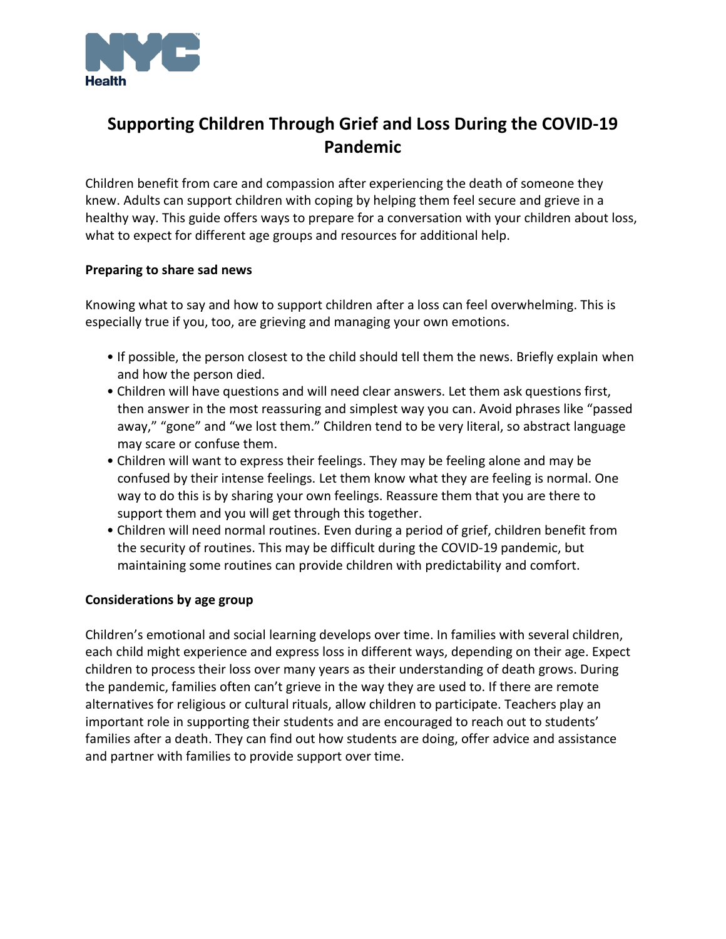

# **Supporting Children Through Grief and Loss During the COVID-19 Pandemic**

Children benefit from care and compassion after experiencing the death of someone they knew. Adults can support children with coping by helping them feel secure and grieve in a healthy way. This guide offers ways to prepare for a conversation with your children about loss, what to expect for different age groups and resources for additional help.

### **Preparing to share sad news**

Knowing what to say and how to support children after a loss can feel overwhelming. This is especially true if you, too, are grieving and managing your own emotions.

- If possible, the person closest to the child should tell them the news. Briefly explain when and how the person died.
- Children will have questions and will need clear answers. Let them ask questions first, then answer in the most reassuring and simplest way you can. Avoid phrases like "passed away," "gone" and "we lost them." Children tend to be very literal, so abstract language may scare or confuse them.
- Children will want to express their feelings. They may be feeling alone and may be confused by their intense feelings. Let them know what they are feeling is normal. One way to do this is by sharing your own feelings. Reassure them that you are there to support them and you will get through this together.
- Children will need normal routines. Even during a period of grief, children benefit from the security of routines. This may be difficult during the COVID-19 pandemic, but maintaining some routines can provide children with predictability and comfort.

## **Considerations by age group**

Children's emotional and social learning develops over time. In families with several children, each child might experience and express loss in different ways, depending on their age. Expect children to process their loss over many years as their understanding of death grows. During the pandemic, families often can't grieve in the way they are used to. If there are remote alternatives for religious or cultural rituals, allow children to participate. Teachers play an important role in supporting their students and are encouraged to reach out to students' families after a death. They can find out how students are doing, offer advice and assistance and partner with families to provide support over time.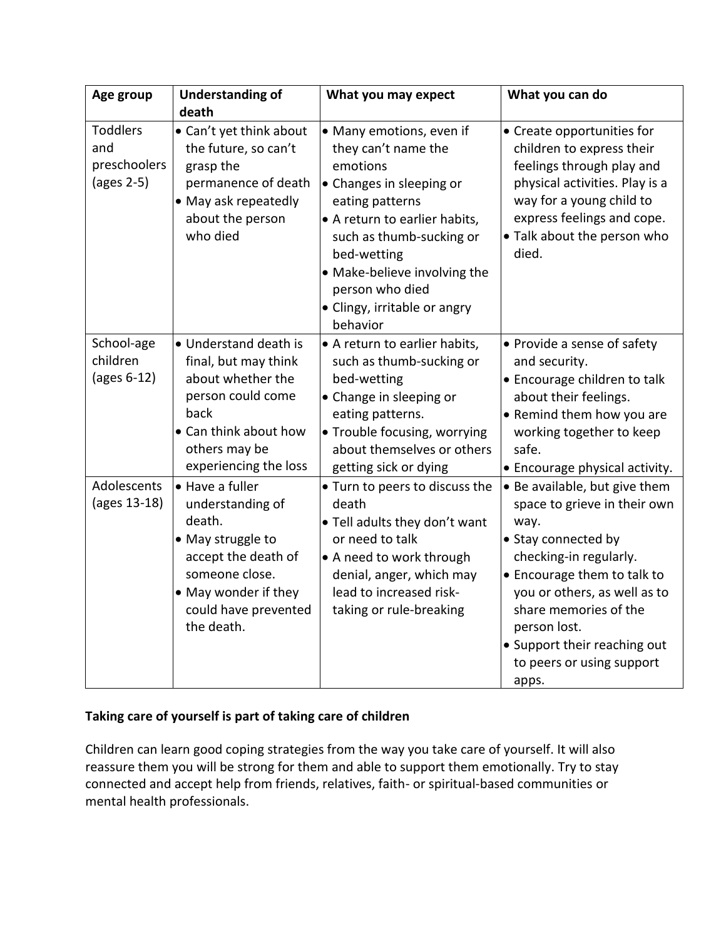| Age group                                            | <b>Understanding of</b><br>death                                                                                                                                          | What you may expect                                                                                                                                                                                                                                                                   | What you can do                                                                                                                                                                                                                                                                                      |
|------------------------------------------------------|---------------------------------------------------------------------------------------------------------------------------------------------------------------------------|---------------------------------------------------------------------------------------------------------------------------------------------------------------------------------------------------------------------------------------------------------------------------------------|------------------------------------------------------------------------------------------------------------------------------------------------------------------------------------------------------------------------------------------------------------------------------------------------------|
| <b>Toddlers</b><br>and<br>preschoolers<br>(ages 2-5) | • Can't yet think about<br>the future, so can't<br>grasp the<br>permanence of death<br>• May ask repeatedly<br>about the person<br>who died                               | • Many emotions, even if<br>they can't name the<br>emotions<br>• Changes in sleeping or<br>eating patterns<br>• A return to earlier habits,<br>such as thumb-sucking or<br>bed-wetting<br>• Make-believe involving the<br>person who died<br>• Clingy, irritable or angry<br>behavior | • Create opportunities for<br>children to express their<br>feelings through play and<br>physical activities. Play is a<br>way for a young child to<br>express feelings and cope.<br>• Talk about the person who<br>died.                                                                             |
| School-age<br>children<br>(ages 6-12)                | • Understand death is<br>final, but may think<br>about whether the<br>person could come<br>back<br>• Can think about how<br>others may be<br>experiencing the loss        | • A return to earlier habits,<br>such as thumb-sucking or<br>bed-wetting<br>• Change in sleeping or<br>eating patterns.<br>• Trouble focusing, worrying<br>about themselves or others<br>getting sick or dying                                                                        | • Provide a sense of safety<br>and security.<br>• Encourage children to talk<br>about their feelings.<br>• Remind them how you are<br>working together to keep<br>safe.<br>• Encourage physical activity.                                                                                            |
| Adolescents<br>(ages 13-18)                          | • Have a fuller<br>understanding of<br>death.<br>• May struggle to<br>accept the death of<br>someone close.<br>• May wonder if they<br>could have prevented<br>the death. | • Turn to peers to discuss the<br>death<br>. Tell adults they don't want<br>or need to talk<br>• A need to work through<br>denial, anger, which may<br>lead to increased risk-<br>taking or rule-breaking                                                                             | • Be available, but give them<br>space to grieve in their own<br>way.<br>• Stay connected by<br>checking-in regularly.<br>• Encourage them to talk to<br>you or others, as well as to<br>share memories of the<br>person lost.<br>• Support their reaching out<br>to peers or using support<br>apps. |

# **Taking care of yourself is part of taking care of children**

Children can learn good coping strategies from the way you take care of yourself. It will also reassure them you will be strong for them and able to support them emotionally. Try to stay connected and accept help from friends, relatives, faith- or spiritual-based communities or mental health professionals.